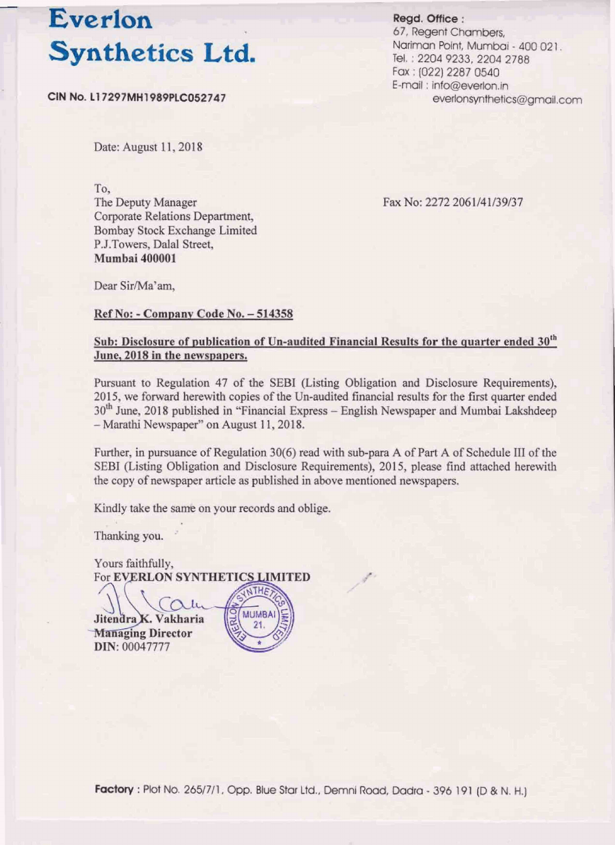## Everlon

Date: August 11, 2018

**To, Corporate Relations Department, Bombay Stock Exchange Limited P.J.Towers, Dalal Street. Mumbai 400001** 

Read. Office: 67, Regent Chambers. **Synthetics Ltd.**<br>
For the constrained and the state of the state of the state of the state of the state of the state of the state of the state of the state of the state of the state of the state of the state of the state **Nariman Point, Mumbai - 400 021.**<br>**Tel. : 2204 9233, 2204 2788**<br>**Fax : (022) 2287 0540** E-mail: info@everlon.in

Fax No: 2272 2061/41/39/37

Dear Sir/Ma'am.

## **Ref No: - Company Code No. - 514358**

## Sub: Disclosure of publication of Un-audited Financial Results for the quarter ended 30<sup>th</sup> **June, 2018 in the newspapers.**

Pursuant to Regulation 47 of the SEBI (Listing Obligation and Disclosure Requirements), **2015, we forward herewith copies of the Un-audited financial results for the first quarter ended** 30<sup>th</sup> June, 2018 published in "Financial Express – English Newspaper and Mumbai Lakshdeep  $-$  Marathi Newspaper" on August 11, 2018.

Further, in pursuance of Regulation 30(6) read with sub-para A of Part A of Schedule III of the **SEBI** (Listing Obligation and Disclosure Requirements), 2015, please find attached herewith **the copy of newspaper article as published in above mentioned newspapers.** 

**Kindly take the same on your records and oblige.<br>Thanking you.** 

**Yours faithfully,<br>For EVERLON SYNTHETICS LIMITED** 

 $\mathbf{1}$ Jitendra K. Vakharia **Managing Director** DIN: 00047777

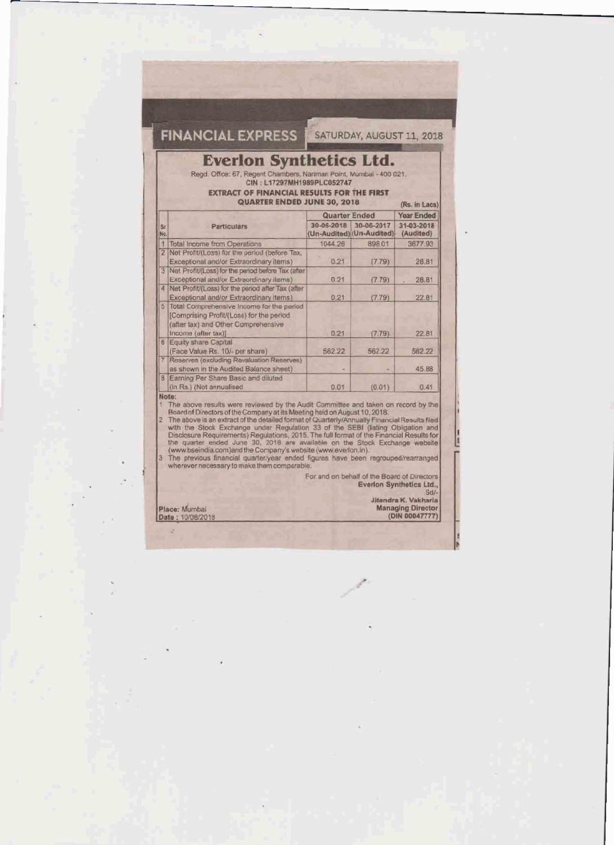|                                                                                                                                                                                                                                          |                                                                                                                                                                                                                                                                                                                                                                                                                                                                                                                                                                                                                                                                                                                                          |                                                                   | SATURDAY, AUGUST 11, 2018                   |                                    |  |  |  |
|------------------------------------------------------------------------------------------------------------------------------------------------------------------------------------------------------------------------------------------|------------------------------------------------------------------------------------------------------------------------------------------------------------------------------------------------------------------------------------------------------------------------------------------------------------------------------------------------------------------------------------------------------------------------------------------------------------------------------------------------------------------------------------------------------------------------------------------------------------------------------------------------------------------------------------------------------------------------------------------|-------------------------------------------------------------------|---------------------------------------------|------------------------------------|--|--|--|
| <b>Everlon Synthetics Ltd.</b><br>Regd. Office: 67, Regent Chambers, Nariman Point, Mumbai - 400 021.<br>CIN: L17297MH1989PLC052747<br><b>EXTRACT OF FINANCIAL RESULTS FOR THE FIRST</b><br>QUARTER ENDED JUNE 30, 2018<br>(Rs. in Lacs) |                                                                                                                                                                                                                                                                                                                                                                                                                                                                                                                                                                                                                                                                                                                                          |                                                                   |                                             |                                    |  |  |  |
|                                                                                                                                                                                                                                          |                                                                                                                                                                                                                                                                                                                                                                                                                                                                                                                                                                                                                                                                                                                                          | <b>Quarter Ended</b>                                              |                                             | <b>Year Ended</b>                  |  |  |  |
| Št.                                                                                                                                                                                                                                      | Particulars                                                                                                                                                                                                                                                                                                                                                                                                                                                                                                                                                                                                                                                                                                                              | 30-06-2018                                                        | 30-06-2017                                  | 31-03-2018                         |  |  |  |
| No.                                                                                                                                                                                                                                      | Total Income from Operations                                                                                                                                                                                                                                                                                                                                                                                                                                                                                                                                                                                                                                                                                                             | 1044.26                                                           | (Un-Audited) (Un-Audited)<br>898.01         | (Audited)<br>3677.93               |  |  |  |
|                                                                                                                                                                                                                                          | 2 Net Profit/(Loss) for the period (before Tax,<br>Exceptional and/or Extraordinary Items)                                                                                                                                                                                                                                                                                                                                                                                                                                                                                                                                                                                                                                               | 0.21                                                              | (7.79)                                      | 28.81                              |  |  |  |
|                                                                                                                                                                                                                                          | 3 Net Profit/(Loss) for the penod before Tax (after<br>Exceptional and/or Extraordinary Items)                                                                                                                                                                                                                                                                                                                                                                                                                                                                                                                                                                                                                                           | 0.21                                                              | (7.79)                                      | 28.81                              |  |  |  |
|                                                                                                                                                                                                                                          | 4 Net Profit/(Loss) for the period after Tax (after<br>Exceptional and/or Extraordinary items)                                                                                                                                                                                                                                                                                                                                                                                                                                                                                                                                                                                                                                           | 0.21                                                              | (7.79)                                      | 22.81                              |  |  |  |
|                                                                                                                                                                                                                                          | 5 Total Comprehensive Income for the period<br>(Comprising Profit/(Loss) for the period<br>(after tax) and Other Comprehensive                                                                                                                                                                                                                                                                                                                                                                                                                                                                                                                                                                                                           |                                                                   |                                             |                                    |  |  |  |
|                                                                                                                                                                                                                                          | Income (after tax)]<br>6 Equity share Capital                                                                                                                                                                                                                                                                                                                                                                                                                                                                                                                                                                                                                                                                                            | 0.21                                                              | (7.79)                                      | 22.81                              |  |  |  |
|                                                                                                                                                                                                                                          | (Face Value Rs. 10/- per share)<br>Reserves (excluding Revaluation Reserves)                                                                                                                                                                                                                                                                                                                                                                                                                                                                                                                                                                                                                                                             | 562.22                                                            | 562.22                                      | 562.22                             |  |  |  |
|                                                                                                                                                                                                                                          | as shown in the Audited Balance sheet).                                                                                                                                                                                                                                                                                                                                                                                                                                                                                                                                                                                                                                                                                                  |                                                                   |                                             | 45.88                              |  |  |  |
| $\mathbf{a}$                                                                                                                                                                                                                             | Earning Per Share Basic and diluted<br>(in Rs.) (Not annualised                                                                                                                                                                                                                                                                                                                                                                                                                                                                                                                                                                                                                                                                          | 0.01                                                              | (0.01)                                      | 0.41                               |  |  |  |
| 2<br>3.                                                                                                                                                                                                                                  | Note:<br>The above results were reviewed by the Audit Committee and taken on record by the<br>Board of Directors of the Company at its Meeting held on August 10, 2018.<br>The above is an extract of the detailed format of Quarterly/Annually Financial Results fied<br>with the Stock Exchange under Regulation 33 of the SEBI (listing Obligation and<br>Disclosure Requirements) Regulations, 2015. The full format of the Financial Results for<br>the quarter ended June 30, 2018 are available on the Stock Exchange website<br>(www.bseindia.com)and the Company's website (www.everlon.in).<br>The previous financial quarter/year ended figures have been regrouped/rearranged<br>wherever necessary to make them comparable. |                                                                   |                                             |                                    |  |  |  |
|                                                                                                                                                                                                                                          |                                                                                                                                                                                                                                                                                                                                                                                                                                                                                                                                                                                                                                                                                                                                          |                                                                   | For and on behalf of the Board of Directors | Everion Synthetics Ltd.,<br>$Sd/-$ |  |  |  |
|                                                                                                                                                                                                                                          | Place: Mumbal<br>Date: 10/08/2018                                                                                                                                                                                                                                                                                                                                                                                                                                                                                                                                                                                                                                                                                                        | Jitendra K, Vakharia<br><b>Managing Director</b><br>(DIN 00047777 |                                             |                                    |  |  |  |